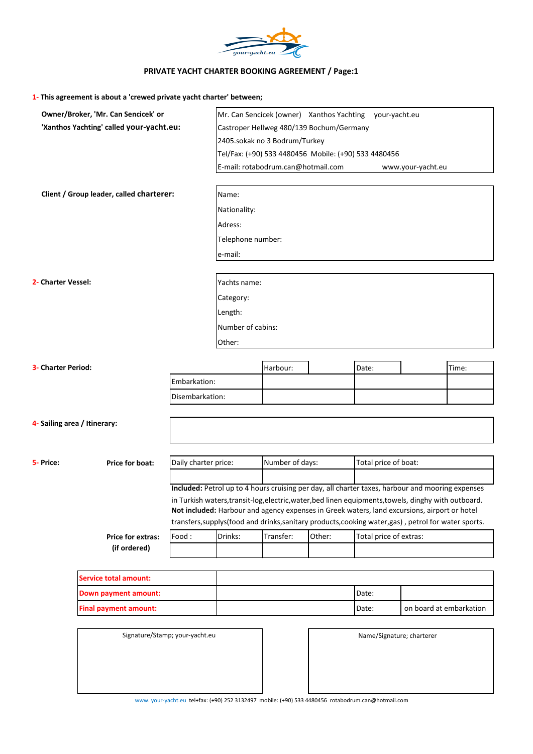

## **PRIVATE YACHT CHARTER BOOKING AGREEMENT / Page:1**

**1- This agreement is about a 'crewed private yacht charter' between;**

|                                          | Owner/Broker, 'Mr. Can Sencicek' or |                                                                                                                                                                                                      |                                                                                                       | Mr. Can Sencicek (owner) Xanthos Yachting your-yacht.eu |        |                         |                   |       |  |  |
|------------------------------------------|-------------------------------------|------------------------------------------------------------------------------------------------------------------------------------------------------------------------------------------------------|-------------------------------------------------------------------------------------------------------|---------------------------------------------------------|--------|-------------------------|-------------------|-------|--|--|
| 'Xanthos Yachting' called your-yacht.eu: |                                     |                                                                                                                                                                                                      | Castroper Hellweg 480/139 Bochum/Germany                                                              |                                                         |        |                         |                   |       |  |  |
|                                          |                                     |                                                                                                                                                                                                      | 2405.sokak no 3 Bodrum/Turkey                                                                         |                                                         |        |                         |                   |       |  |  |
|                                          |                                     |                                                                                                                                                                                                      | Tel/Fax: (+90) 533 4480456 Mobile: (+90) 533 4480456                                                  |                                                         |        |                         |                   |       |  |  |
|                                          |                                     |                                                                                                                                                                                                      | E-mail: rotabodrum.can@hotmail.com                                                                    |                                                         |        |                         | www.your-yacht.eu |       |  |  |
|                                          |                                     |                                                                                                                                                                                                      |                                                                                                       |                                                         |        |                         |                   |       |  |  |
| Client / Group leader, called charterer: |                                     |                                                                                                                                                                                                      | Name:                                                                                                 |                                                         |        |                         |                   |       |  |  |
|                                          |                                     |                                                                                                                                                                                                      | Nationality:                                                                                          |                                                         |        |                         |                   |       |  |  |
|                                          |                                     |                                                                                                                                                                                                      | Adress:                                                                                               |                                                         |        |                         |                   |       |  |  |
|                                          |                                     |                                                                                                                                                                                                      | Telephone number:                                                                                     |                                                         |        |                         |                   |       |  |  |
|                                          |                                     |                                                                                                                                                                                                      | e-mail:                                                                                               |                                                         |        |                         |                   |       |  |  |
|                                          |                                     |                                                                                                                                                                                                      |                                                                                                       |                                                         |        |                         |                   |       |  |  |
| 2- Charter Vessel:                       |                                     |                                                                                                                                                                                                      | Yachts name:                                                                                          |                                                         |        |                         |                   |       |  |  |
|                                          |                                     |                                                                                                                                                                                                      | Category:                                                                                             |                                                         |        |                         |                   |       |  |  |
|                                          |                                     |                                                                                                                                                                                                      | Length:                                                                                               |                                                         |        |                         |                   |       |  |  |
|                                          |                                     |                                                                                                                                                                                                      | Number of cabins:                                                                                     |                                                         |        |                         |                   |       |  |  |
|                                          |                                     |                                                                                                                                                                                                      | Other:                                                                                                |                                                         |        |                         |                   |       |  |  |
|                                          |                                     |                                                                                                                                                                                                      |                                                                                                       |                                                         |        |                         |                   |       |  |  |
| 3- Charter Period:                       |                                     |                                                                                                                                                                                                      |                                                                                                       | Harbour:                                                |        | Date:                   |                   | Time: |  |  |
|                                          |                                     | Embarkation:                                                                                                                                                                                         |                                                                                                       |                                                         |        |                         |                   |       |  |  |
|                                          |                                     | Disembarkation:                                                                                                                                                                                      |                                                                                                       |                                                         |        |                         |                   |       |  |  |
|                                          |                                     |                                                                                                                                                                                                      |                                                                                                       |                                                         |        |                         |                   |       |  |  |
|                                          | 4- Sailing area / Itinerary:        |                                                                                                                                                                                                      |                                                                                                       |                                                         |        |                         |                   |       |  |  |
|                                          |                                     |                                                                                                                                                                                                      |                                                                                                       |                                                         |        |                         |                   |       |  |  |
|                                          |                                     |                                                                                                                                                                                                      |                                                                                                       |                                                         |        |                         |                   |       |  |  |
| 5- Price:                                | Price for boat:                     | Daily charter price:                                                                                                                                                                                 |                                                                                                       | Number of days:                                         |        | Total price of boat:    |                   |       |  |  |
|                                          |                                     |                                                                                                                                                                                                      |                                                                                                       |                                                         |        |                         |                   |       |  |  |
|                                          |                                     | Included: Petrol up to 4 hours cruising per day, all charter taxes, harbour and mooring expenses                                                                                                     |                                                                                                       |                                                         |        |                         |                   |       |  |  |
|                                          |                                     | in Turkish waters, transit-log, electric, water, bed linen equipments, towels, dinghy with outboard.<br>Not included: Harbour and agency expenses in Greek waters, land excursions, airport or hotel |                                                                                                       |                                                         |        |                         |                   |       |  |  |
|                                          |                                     |                                                                                                                                                                                                      | transfers, supplys (food and drinks, sanitary products, cooking water, gas), petrol for water sports. |                                                         |        |                         |                   |       |  |  |
| Price for extras:                        |                                     | Food:                                                                                                                                                                                                | Drinks:                                                                                               | Transfer:                                               | Other: | Total price of extras:  |                   |       |  |  |
|                                          | (if ordered)                        |                                                                                                                                                                                                      |                                                                                                       |                                                         |        |                         |                   |       |  |  |
|                                          |                                     |                                                                                                                                                                                                      |                                                                                                       |                                                         |        |                         |                   |       |  |  |
|                                          | <b>Service total amount:</b>        |                                                                                                                                                                                                      |                                                                                                       |                                                         |        |                         |                   |       |  |  |
|                                          | Down payment amount:                |                                                                                                                                                                                                      |                                                                                                       |                                                         |        | Date:                   |                   |       |  |  |
|                                          | <b>Final payment amount:</b>        | Date:                                                                                                                                                                                                |                                                                                                       |                                                         |        | on board at embarkation |                   |       |  |  |
|                                          |                                     |                                                                                                                                                                                                      |                                                                                                       |                                                         |        |                         |                   |       |  |  |
|                                          | Signature/Stamp; your-yacht.eu      |                                                                                                                                                                                                      | Name/Signature; charterer                                                                             |                                                         |        |                         |                   |       |  |  |
|                                          |                                     |                                                                                                                                                                                                      |                                                                                                       |                                                         |        |                         |                   |       |  |  |
|                                          |                                     |                                                                                                                                                                                                      |                                                                                                       |                                                         |        |                         |                   |       |  |  |
|                                          |                                     |                                                                                                                                                                                                      |                                                                                                       |                                                         |        |                         |                   |       |  |  |

www. your-yacht.eu tel+fax: (+90) 252 3132497 mobile: (+90) 533 4480456 rotabodrum.can@hotmail.com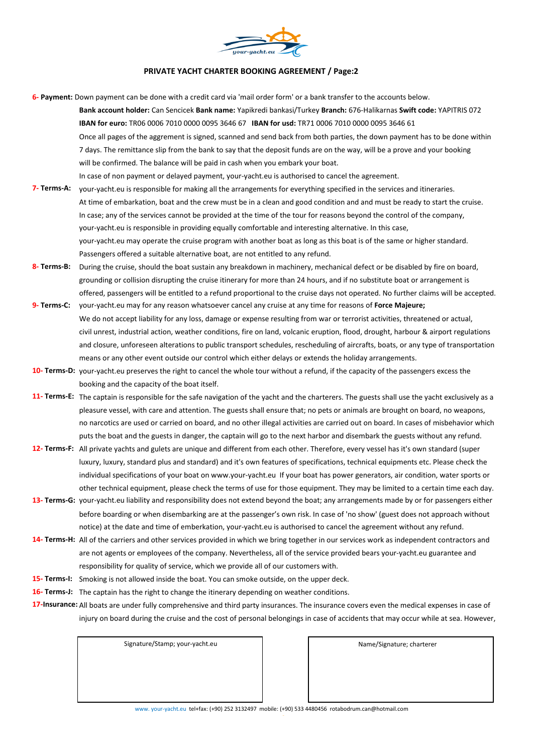

## **PRIVATE YACHT CHARTER BOOKING AGREEMENT / Page:2**

**6- Payment:** Down payment can be done with a credit card via 'mail order form' or a bank transfer to the accounts below. **Bank account holder:** Can Sencicek **Bank name:** Yapikredi bankasi/Turkey **Branch:** 676-Halikarnas **Swift code:** YAPITRIS 072 **IBAN for euro:** TR06 0006 7010 0000 0095 3646 67 **IBAN for usd:** TR71 0006 7010 0000 0095 3646 61 Once all pages of the aggrement is signed, scanned and send back from both parties, the down payment has to be done within 7 days. The remittance slip from the bank to say that the deposit funds are on the way, will be a prove and your booking will be confirmed. The balance will be paid in cash when you embark your boat. In case of non payment or delayed payment, your-yacht.eu is authorised to cancel the agreement.

- **7- Terms-A:** your-yacht.eu is responsible for making all the arrangements for everything specified in the services and itineraries. At time of embarkation, boat and the crew must be in a clean and good condition and and must be ready to start the cruise. In case; any of the services cannot be provided at the time of the tour for reasons beyond the control of the company, your-yacht.eu is responsible in providing equally comfortable and interesting alternative. In this case, your-yacht.eu may operate the cruise program with another boat as long as this boat is of the same or higher standard. Passengers offered a suitable alternative boat, are not entitled to any refund.
- **8- Terms-B:** During the cruise, should the boat sustain any breakdown in machinery, mechanical defect or be disabled by fire on board, grounding or collision disrupting the cruise itinerary for more than 24 hours, and if no substitute boat or arrangement is offered, passengers will be entitled to a refund proportional to the cruise days not operated. No further claims will be accepted.
- **9- Terms-C:** your-yacht.eu may for any reason whatsoever cancel any cruise at any time for reasons of **Force Majeure;** We do not accept liability for any loss, damage or expense resulting from war or terrorist activities, threatened or actual, civil unrest, industrial action, weather conditions, fire on land, volcanic eruption, flood, drought, harbour & airport regulations and closure, unforeseen alterations to public transport schedules, rescheduling of aircrafts, boats, or any type of transportation means or any other event outside our control which either delays or extends the holiday arrangements.
- **10- Terms-D:** your-yacht.eu preserves the right to cancel the whole tour without a refund, if the capacity of the passengers excess the booking and the capacity of the boat itself.
- **11- Terms-E:** The captain is responsible for the safe navigation of the yacht and the charterers. The guests shall use the yacht exclusively as a pleasure vessel, with care and attention. The guests shall ensure that; no pets or animals are brought on board, no weapons, no narcotics are used or carried on board, and no other illegal activities are carried out on board. In cases of misbehavior which puts the boat and the guests in danger, the captain will go to the next harbor and disembark the guests without any refund.
- **12- Terms-F:** All private yachts and gulets are unique and different from each other. Therefore, every vessel has it's own standard (super luxury, luxury, standard plus and standard) and it's own features of specifications, technical equipments etc. Please check the individual specifications of your boat on www.your-yacht.eu If your boat has power generators, air condition, water sports or other technical equipment, please check the terms of use for those equipment. They may be limited to a certain time each day.
- **13- Terms-G:** your-yacht.eu liability and responsibility does not extend beyond the boat; any arrangements made by or for passengers either before boarding or when disembarking are at the passenger's own risk. In case of 'no show' (guest does not approach without notice) at the date and time of emberkation, your-yacht.eu is authorised to cancel the agreement without any refund.
- **14- Terms-H:** All of the carriers and other services provided in which we bring together in our services work as independent contractors and are not agents or employees of the company. Nevertheless, all of the service provided bears your-yacht.eu guarantee and responsibility for quality of service, which we provide all of our customers with.
- **15- Terms-I:** Smoking is not allowed inside the boat. You can smoke outside, on the upper deck.
- **16- Terms-J:** The captain has the right to change the itinerary depending on weather conditions.
- **17-Insurance:** All boats are under fully comprehensive and third party insurances. The insurance covers even the medical expenses in case of injury on board during the cruise and the cost of personal belongings in case of accidents that may occur while at sea. However,

Signature/Stamp; your-yacht.eu Name/Signature; charterer

www. your-yacht.eu tel+fax: (+90) 252 3132497 mobile: (+90) 533 4480456 rotabodrum.can@hotmail.com